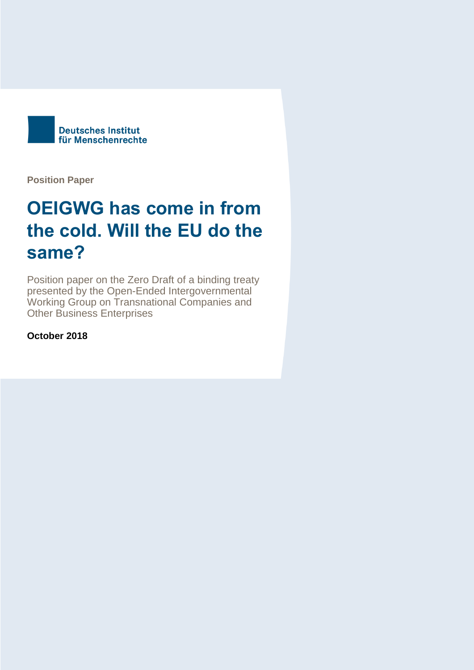

**Position Paper**

# **OEIGWG has come in from the cold. Will the EU do the same?**

Position paper on the Zero Draft of a binding treaty presented by the Open-Ended Intergovernmental Working Group on Transnational Companies and Other Business Enterprises

**October 2018**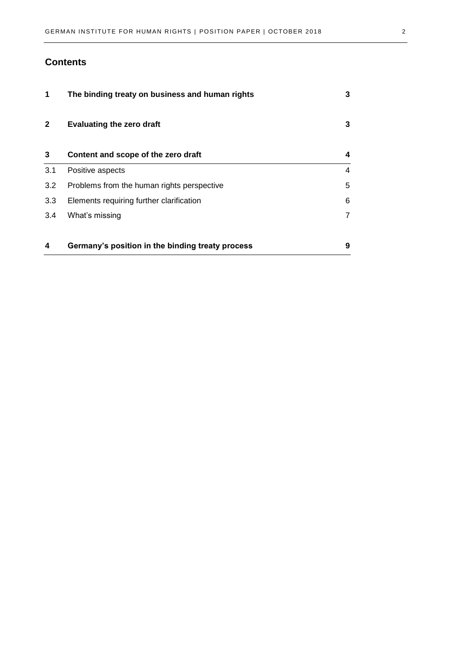#### **Contents**

| 1                | The binding treaty on business and human rights  | 3 |
|------------------|--------------------------------------------------|---|
| $\mathbf{2}$     | <b>Evaluating the zero draft</b>                 | 3 |
| 3                | Content and scope of the zero draft              | 4 |
| 3.1              | Positive aspects                                 | 4 |
| 3.2              | Problems from the human rights perspective       | 5 |
| 3.3 <sub>2</sub> | Elements requiring further clarification         | 6 |
| 3.4              | What's missing                                   |   |
|                  |                                                  |   |
| 4                | Germany's position in the binding treaty process | 9 |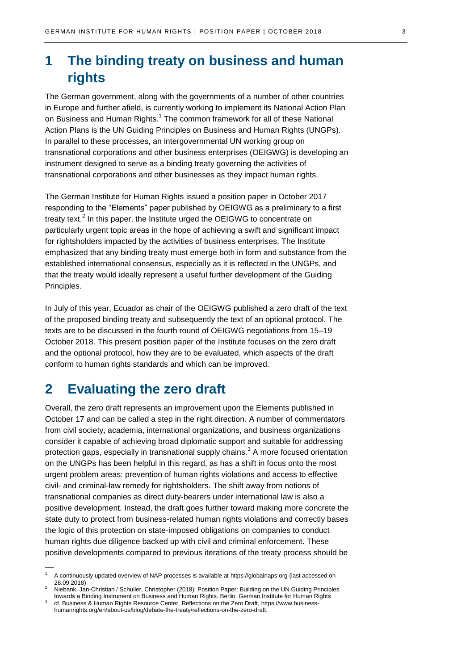# <span id="page-2-0"></span>**1 The binding treaty on business and human rights**

The German government, along with the governments of a number of other countries in Europe and further afield, is currently working to implement its National Action Plan on Business and Human Rights.<sup>1</sup> The common framework for all of these National Action Plans is the UN Guiding Principles on Business and Human Rights (UNGPs). In parallel to these processes, an intergovernmental UN working group on transnational corporations and other business enterprises (OEIGWG) is developing an instrument designed to serve as a binding treaty governing the activities of transnational corporations and other businesses as they impact human rights.

The German Institute for Human Rights issued a position paper in October 2017 responding to the "Elements" paper published by OEIGWG as a preliminary to a first treaty text.<sup>2</sup> In this paper, the Institute urged the OEIGWG to concentrate on particularly urgent topic areas in the hope of achieving a swift and significant impact for rightsholders impacted by the activities of business enterprises. The Institute emphasized that any binding treaty must emerge both in form and substance from the established international consensus, especially as it is reflected in the UNGPs, and that the treaty would ideally represent a useful further development of the Guiding Principles.

In July of this year, Ecuador as chair of the OEIGWG published a zero draft of the text of the proposed binding treaty and subsequently the text of an optional protocol. The texts are to be discussed in the fourth round of OEIGWG negotiations from 15–19 October 2018. This present position paper of the Institute focuses on the zero draft and the optional protocol, how they are to be evaluated, which aspects of the draft conform to human rights standards and which can be improved.

### <span id="page-2-1"></span>**2 Evaluating the zero draft**

 $\overline{\phantom{a}}$ 

Overall, the zero draft represents an improvement upon the Elements published in October 17 and can be called a step in the right direction. A number of commentators from civil society, academia, international organizations, and business organizations consider it capable of achieving broad diplomatic support and suitable for addressing protection gaps, especially in transnational supply chains. $3$  A more focused orientation on the UNGPs has been helpful in this regard, as has a shift in focus onto the most urgent problem areas: prevention of human rights violations and access to effective civil- and criminal-law remedy for rightsholders. The shift away from notions of transnational companies as direct duty-bearers under international law is also a positive development. Instead, the draft goes further toward making more concrete the state duty to protect from business-related human rights violations and correctly bases the logic of this protection on state-imposed obligations on companies to conduct human rights due diligence backed up with civil and criminal enforcement. These positive developments compared to previous iterations of the treaty process should be

<sup>1</sup> A continuously updated overview of NAP processes is available a[t https://globalnaps.org](https://globalnaps.org/) (last accessed on 28.09.2018)

<sup>2</sup> Niebank, Jan-Christian / Schuller, Christopher (2018): Position Paper: Building on the UN Guiding Principles towards a Binding Instrument on Business and Human Rights. Berlin: German Institute for Human Rights

<sup>3</sup> cf. Business & Human Rights Resource Center, Reflections on the Zero Draft[, https://www.business](https://www.business-humanrights.org/en/about-us/blog/debate-the-treaty/reflections-on-the-zero-draft)[humanrights.org/en/about-us/blog/debate-the-treaty/reflections-on-the-zero-draft.](https://www.business-humanrights.org/en/about-us/blog/debate-the-treaty/reflections-on-the-zero-draft)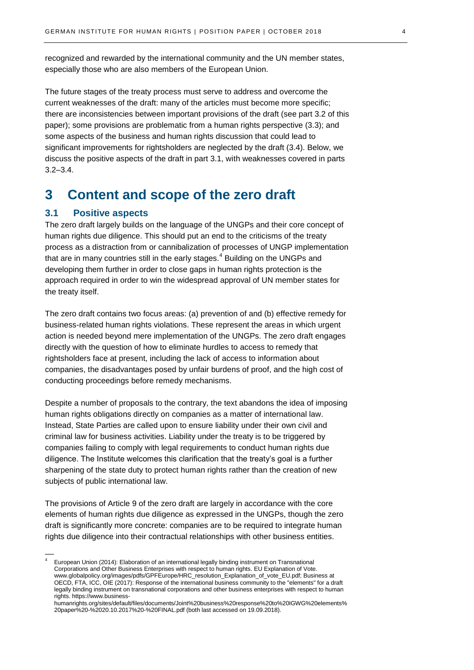recognized and rewarded by the international community and the UN member states, especially those who are also members of the European Union.

The future stages of the treaty process must serve to address and overcome the current weaknesses of the draft: many of the articles must become more specific; there are inconsistencies between important provisions of the draft (see part 3.2 of this paper); some provisions are problematic from a human rights perspective (3.3); and some aspects of the business and human rights discussion that could lead to significant improvements for rightsholders are neglected by the draft (3.4). Below, we discuss the positive aspects of the draft in part 3.1, with weaknesses covered in parts 3.2–3.4.

### <span id="page-3-0"></span>**3 Content and scope of the zero draft**

#### <span id="page-3-1"></span>**3.1 Positive aspects**

 $\overline{\phantom{a}}$ 

The zero draft largely builds on the language of the UNGPs and their core concept of human rights due diligence. This should put an end to the criticisms of the treaty process as a distraction from or cannibalization of processes of UNGP implementation that are in many countries still in the early stages. $<sup>4</sup>$  Building on the UNGPs and</sup> developing them further in order to close gaps in human rights protection is the approach required in order to win the widespread approval of UN member states for the treaty itself.

The zero draft contains two focus areas: (a) prevention of and (b) effective remedy for business-related human rights violations. These represent the areas in which urgent action is needed beyond mere implementation of the UNGPs. The zero draft engages directly with the question of how to eliminate hurdles to access to remedy that rightsholders face at present, including the lack of access to information about companies, the disadvantages posed by unfair burdens of proof, and the high cost of conducting proceedings before remedy mechanisms.

Despite a number of proposals to the contrary, the text abandons the idea of imposing human rights obligations directly on companies as a matter of international law. Instead, State Parties are called upon to ensure liability under their own civil and criminal law for business activities. Liability under the treaty is to be triggered by companies failing to comply with legal requirements to conduct human rights due diligence. The Institute welcomes this clarification that the treaty's goal is a further sharpening of the state duty to protect human rights rather than the creation of new subjects of public international law.

The provisions of Article 9 of the zero draft are largely in accordance with the core elements of human rights due diligence as expressed in the UNGPs, though the zero draft is significantly more concrete: companies are to be required to integrate human rights due diligence into their contractual relationships with other business entities.

<sup>4</sup> European Union (2014): Elaboration of an international legally binding instrument on Transnational Corporations and Other Business Enterprises with respect to human rights. EU Explanation of Vote. [www.globalpolicy.org/images/pdfs/GPFEurope/HRC\\_resolution\\_Explanation\\_of\\_vote\\_EU.pdf;](http://www.globalpolicy.org/images/pdfs/GPFEurope/HRC_resolution_Explanation_of_vote_EU.pdf) Business at OECD, FTA, ICC, OIE (2017): Response of the international business community to the "elements" for a draft legally binding instrument on transnational corporations and other business enterprises with respect to human rights[. https://www.business-](https://www.business-humanrights.org/sites/default/files/documents/Joint%20business%20response%20to%20IGWG%20elements%20paper%20-%2020.10.2017%20-%20FINAL.pdf)

[humanrights.org/sites/default/files/documents/Joint%20business%20response%20to%20IGWG%20elements%](https://www.business-humanrights.org/sites/default/files/documents/Joint%20business%20response%20to%20IGWG%20elements%20paper%20-%2020.10.2017%20-%20FINAL.pdf) [20paper%20-%2020.10.2017%20-%20FINAL.pdf](https://www.business-humanrights.org/sites/default/files/documents/Joint%20business%20response%20to%20IGWG%20elements%20paper%20-%2020.10.2017%20-%20FINAL.pdf) (both last accessed on 19.09.2018).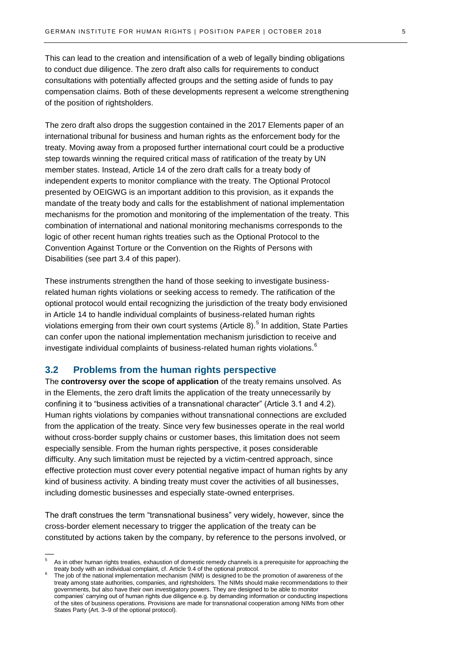This can lead to the creation and intensification of a web of legally binding obligations to conduct due diligence. The zero draft also calls for requirements to conduct consultations with potentially affected groups and the setting aside of funds to pay compensation claims. Both of these developments represent a welcome strengthening of the position of rightsholders.

The zero draft also drops the suggestion contained in the 2017 Elements paper of an international tribunal for business and human rights as the enforcement body for the treaty. Moving away from a proposed further international court could be a productive step towards winning the required critical mass of ratification of the treaty by UN member states. Instead, Article 14 of the zero draft calls for a treaty body of independent experts to monitor compliance with the treaty. The Optional Protocol presented by OEIGWG is an important addition to this provision, as it expands the mandate of the treaty body and calls for the establishment of national implementation mechanisms for the promotion and monitoring of the implementation of the treaty. This combination of international and national monitoring mechanisms corresponds to the logic of other recent human rights treaties such as the Optional Protocol to the Convention Against Torture or the Convention on the Rights of Persons with Disabilities (see part 3.4 of this paper).

These instruments strengthen the hand of those seeking to investigate businessrelated human rights violations or seeking access to remedy. The ratification of the optional protocol would entail recognizing the jurisdiction of the treaty body envisioned in Article 14 to handle individual complaints of business-related human rights violations emerging from their own court systems (Article 8).<sup>5</sup> In addition, State Parties can confer upon the national implementation mechanism jurisdiction to receive and investigate individual complaints of business-related human rights violations.<sup>6</sup>

#### <span id="page-4-0"></span>**3.2 Problems from the human rights perspective**

 $\overline{\phantom{a}}$ 

The **controversy over the scope of application** of the treaty remains unsolved. As in the Elements, the zero draft limits the application of the treaty unnecessarily by confining it to "business activities of a transnational character" (Article 3.1 and 4.2). Human rights violations by companies without transnational connections are excluded from the application of the treaty. Since very few businesses operate in the real world without cross-border supply chains or customer bases, this limitation does not seem especially sensible. From the human rights perspective, it poses considerable difficulty. Any such limitation must be rejected by a victim-centred approach, since effective protection must cover every potential negative impact of human rights by any kind of business activity. A binding treaty must cover the activities of all businesses, including domestic businesses and especially state-owned enterprises.

The draft construes the term "transnational business" very widely, however, since the cross-border element necessary to trigger the application of the treaty can be constituted by actions taken by the company, by reference to the persons involved, or

As in other human rights treaties, exhaustion of domestic remedy channels is a prerequisite for approaching the treaty body with an individual complaint, cf. Article 9.4 of the optional protocol.

<sup>6</sup> The job of the national implementation mechanism (NIM) is designed to be the promotion of awareness of the treaty among state authorities, companies, and rightsholders. The NIMs should make recommendations to their governments, but also have their own investigatory powers. They are designed to be able to monitor companies' carrying out of human rights due diligence e.g. by demanding information or conducting inspections of the sites of business operations. Provisions are made for transnational cooperation among NIMs from other States Party (Art. 3–9 of the optional protocol).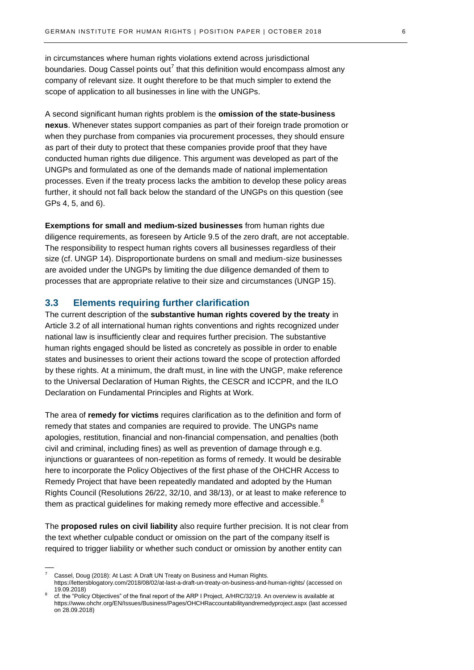in circumstances where human rights violations extend across jurisdictional boundaries. Doug Cassel points out<sup>7</sup> that this definition would encompass almost any company of relevant size. It ought therefore to be that much simpler to extend the scope of application to all businesses in line with the UNGPs.

A second significant human rights problem is the **omission of the state-business nexus**. Whenever states support companies as part of their foreign trade promotion or when they purchase from companies via procurement processes, they should ensure as part of their duty to protect that these companies provide proof that they have conducted human rights due diligence. This argument was developed as part of the UNGPs and formulated as one of the demands made of national implementation processes. Even if the treaty process lacks the ambition to develop these policy areas further, it should not fall back below the standard of the UNGPs on this question (see GPs 4, 5, and 6).

**Exemptions for small and medium-sized businesses** from human rights due diligence requirements, as foreseen by Article 9.5 of the zero draft, are not acceptable. The responsibility to respect human rights covers all businesses regardless of their size (cf. UNGP 14). Disproportionate burdens on small and medium-size businesses are avoided under the UNGPs by limiting the due diligence demanded of them to processes that are appropriate relative to their size and circumstances (UNGP 15).

#### <span id="page-5-0"></span>**3.3 Elements requiring further clarification**

The current description of the **substantive human rights covered by the treaty** in Article 3.2 of all international human rights conventions and rights recognized under national law is insufficiently clear and requires further precision. The substantive human rights engaged should be listed as concretely as possible in order to enable states and businesses to orient their actions toward the scope of protection afforded by these rights. At a minimum, the draft must, in line with the UNGP, make reference to the Universal Declaration of Human Rights, the CESCR and ICCPR, and the ILO Declaration on Fundamental Principles and Rights at Work.

The area of **remedy for victims** requires clarification as to the definition and form of remedy that states and companies are required to provide. The UNGPs name apologies, restitution, financial and non-financial compensation, and penalties (both civil and criminal, including fines) as well as prevention of damage through e.g. injunctions or guarantees of non-repetition as forms of remedy. It would be desirable here to incorporate the Policy Objectives of the first phase of the OHCHR Access to Remedy Project that have been repeatedly mandated and adopted by the Human Rights Council (Resolutions 26/22, 32/10, and 38/13), or at least to make reference to them as practical guidelines for making remedy more effective and accessible.<sup>8</sup>

The **proposed rules on civil liability** also require further precision. It is not clear from the text whether culpable conduct or omission on the part of the company itself is required to trigger liability or whether such conduct or omission by another entity can

 $\overline{\phantom{a}}$ 

Cassel, Doug (2018): At Last: A Draft UN Treaty on Business and Human Rights. https://lettersblogatory.com/2018/08/02/at-last-a-draft-un-treaty-on-business-and-human-rights/ (accessed on

<sup>19.09.2018)</sup>

<sup>8</sup> cf. the "Policy Objectives" of the final report of the ARP I Project, A/HRC/32/19. An overview is available at <https://www.ohchr.org/EN/Issues/Business/Pages/OHCHRaccountabilityandremedyproject.aspx> (last accessed on 28.09.2018)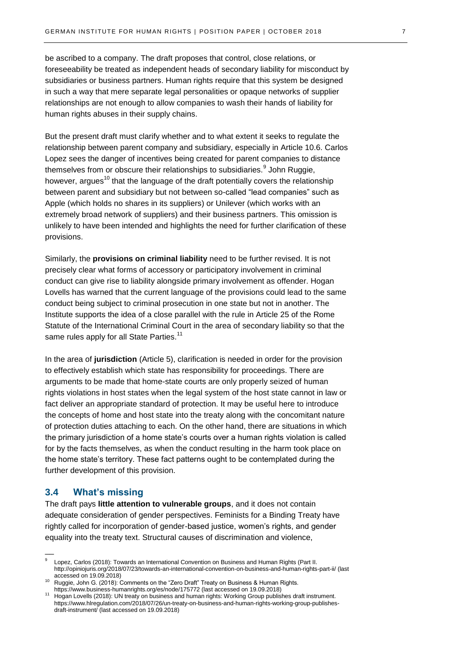be ascribed to a company. The draft proposes that control, close relations, or foreseeability be treated as independent heads of secondary liability for misconduct by subsidiaries or business partners. Human rights require that this system be designed in such a way that mere separate legal personalities or opaque networks of supplier relationships are not enough to allow companies to wash their hands of liability for human rights abuses in their supply chains.

But the present draft must clarify whether and to what extent it seeks to regulate the relationship between parent company and subsidiary, especially in Article 10.6. Carlos Lopez sees the danger of incentives being created for parent companies to distance themselves from or obscure their relationships to subsidiaries.<sup>9</sup> John Ruggie, however, argues<sup>10</sup> that the language of the draft potentially covers the relationship between parent and subsidiary but not between so-called "lead companies" such as Apple (which holds no shares in its suppliers) or Unilever (which works with an extremely broad network of suppliers) and their business partners. This omission is unlikely to have been intended and highlights the need for further clarification of these provisions.

Similarly, the **provisions on criminal liability** need to be further revised. It is not precisely clear what forms of accessory or participatory involvement in criminal conduct can give rise to liability alongside primary involvement as offender. Hogan Lovells has warned that the current language of the provisions could lead to the same conduct being subject to criminal prosecution in one state but not in another. The Institute supports the idea of a close parallel with the rule in Article 25 of the Rome Statute of the International Criminal Court in the area of secondary liability so that the same rules apply for all State Parties.<sup>11</sup>

In the area of **jurisdiction** (Article 5), clarification is needed in order for the provision to effectively establish which state has responsibility for proceedings. There are arguments to be made that home-state courts are only properly seized of human rights violations in host states when the legal system of the host state cannot in law or fact deliver an appropriate standard of protection. It may be useful here to introduce the concepts of home and host state into the treaty along with the concomitant nature of protection duties attaching to each. On the other hand, there are situations in which the primary jurisdiction of a home state's courts over a human rights violation is called for by the facts themselves, as when the conduct resulting in the harm took place on the home state's territory. These fact patterns ought to be contemplated during the further development of this provision.

#### <span id="page-6-0"></span>**3.4 What's missing**

 $\overline{\phantom{a}}$ 

The draft pays **little attention to vulnerable groups**, and it does not contain adequate consideration of gender perspectives. Feminists for a Binding Treaty have rightly called for incorporation of gender-based justice, women's rights, and gender equality into the treaty text. Structural causes of discrimination and violence,

<sup>9</sup> Lopez, Carlos (2018): Towards an International Convention on Business and Human Rights (Part II. <http://opiniojuris.org/2018/07/23/towards-an-international-convention-on-business-and-human-rights-part-ii/> (last accessed on 19.09.2018)

<sup>10</sup> Ruggie, John G. (2018): Comments on the "Zero Draft" Treaty on Business & Human Rights. <https://www.business-humanrights.org/es/node/175772> (last accessed on 19.09.2018)

<sup>11</sup> Hogan Lovells (2018): UN treaty on business and human rights: Working Group publishes draft instrument. [https://www.hlregulation.com/2018/07/26/un-treaty-on-business-and-human-rights-working-group-publishes](https://www.hlregulation.com/2018/07/26/un-treaty-on-business-and-human-rights-working-group-publishes-draft-instrument/)[draft-instrument/](https://www.hlregulation.com/2018/07/26/un-treaty-on-business-and-human-rights-working-group-publishes-draft-instrument/) (last accessed on 19.09.2018)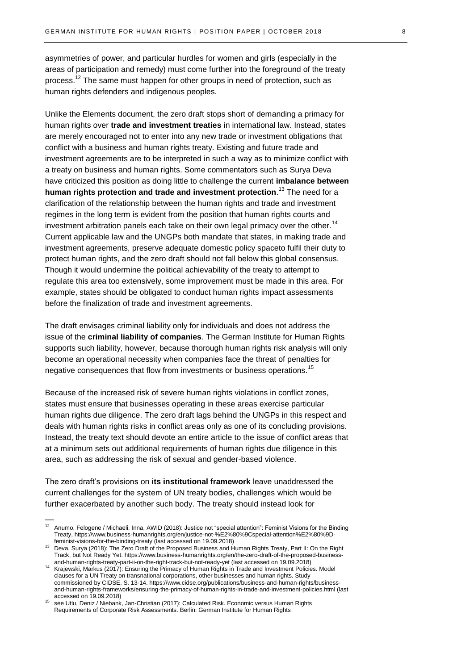asymmetries of power, and particular hurdles for women and girls (especially in the areas of participation and remedy) must come further into the foreground of the treaty process.<sup>12</sup> The same must happen for other groups in need of protection, such as human rights defenders and indigenous peoples.

Unlike the Elements document, the zero draft stops short of demanding a primacy for human rights over **trade and investment treaties** in international law. Instead, states are merely encouraged not to enter into any new trade or investment obligations that conflict with a business and human rights treaty. Existing and future trade and investment agreements are to be interpreted in such a way as to minimize conflict with a treaty on business and human rights. Some commentators such as Surya Deva have criticized this position as doing little to challenge the current **imbalance between human rights protection and trade and investment protection**. <sup>13</sup> The need for a clarification of the relationship between the human rights and trade and investment regimes in the long term is evident from the position that human rights courts and investment arbitration panels each take on their own legal primacy over the other.<sup>14</sup> Current applicable law and the UNGPs both mandate that states, in making trade and investment agreements, preserve adequate domestic policy spaceto fulfil their duty to protect human rights, and the zero draft should not fall below this global consensus. Though it would undermine the political achievability of the treaty to attempt to regulate this area too extensively, some improvement must be made in this area. For example, states should be obligated to conduct human rights impact assessments before the finalization of trade and investment agreements.

The draft envisages criminal liability only for individuals and does not address the issue of the **criminal liability of companies**. The German Institute for Human Rights supports such liability, however, because thorough human rights risk analysis will only become an operational necessity when companies face the threat of penalties for negative consequences that flow from investments or business operations.<sup>15</sup>

Because of the increased risk of severe human rights violations in conflict zones, states must ensure that businesses operating in these areas exercise particular human rights due diligence. The zero draft lags behind the UNGPs in this respect and deals with human rights risks in conflict areas only as one of its concluding provisions. Instead, the treaty text should devote an entire article to the issue of conflict areas that at a minimum sets out additional requirements of human rights due diligence in this area, such as addressing the risk of sexual and gender-based violence.

The zero draft's provisions on **its institutional framework** leave unaddressed the current challenges for the system of UN treaty bodies, challenges which would be further exacerbated by another such body. The treaty should instead look for

 $\overline{\phantom{a}}$ 

<sup>&</sup>lt;sup>12</sup> Anumo, Felogene / Michaeli, Inna, AWID (2018): Justice not "special attention": Feminist Visions for the Binding Treaty[, https://www.business-humanrights.org/en/justice-not-%E2%80%9Cspecial-attention%E2%80%9D](https://www.business-humanrights.org/en/justice-not-%E2%80%9Cspecial-attention%E2%80%9D-feminist-visions-for-the-binding-treaty)[feminist-visions-for-the-binding-treaty](https://www.business-humanrights.org/en/justice-not-%E2%80%9Cspecial-attention%E2%80%9D-feminist-visions-for-the-binding-treaty) (last accessed on 19.09.2018)

<sup>13</sup> Deva, Surya (2018): The Zero Draft of the Proposed Business and Human Rights Treaty, Part II: On the Right Track, but Not Ready Yet. [https://www.business-humanrights.org/en/the-zero-draft-of-the-proposed-business](https://www.business-humanrights.org/en/the-zero-draft-of-the-proposed-business-and-human-rights-treaty-part-ii-on-the-right-track-but-not-ready-yet)[and-human-rights-treaty-part-ii-on-the-right-track-but-not-ready-yet](https://www.business-humanrights.org/en/the-zero-draft-of-the-proposed-business-and-human-rights-treaty-part-ii-on-the-right-track-but-not-ready-yet) (last accessed on 19.09.2018)

<sup>14</sup> Krajewski, Markus (2017): Ensuring the Primacy of Human Rights in Trade and Investment Policies. Model clauses for a UN Treaty on transnational corporations, other businesses and human rights. Study commissioned by CIDSE, S. 13-14. [https://www.cidse.org/publications/business-and-human-rights/business](https://www.cidse.org/publications/business-and-human-rights/business-and-human-rights-frameworks/ensuring-the-primacy-of-human-rights-in-trade-and-investment-policies.html)[and-human-rights-frameworks/ensuring-the-primacy-of-human-rights-in-trade-and-investment-policies.html](https://www.cidse.org/publications/business-and-human-rights/business-and-human-rights-frameworks/ensuring-the-primacy-of-human-rights-in-trade-and-investment-policies.html) (last accessed on 19.09.2018)

see Utlu, Deniz / Niebank, Jan-Christian (2017): Calculated Risk. Economic versus Human Rights Requirements of Corporate Risk Assessments. Berlin: German Institute for Human Rights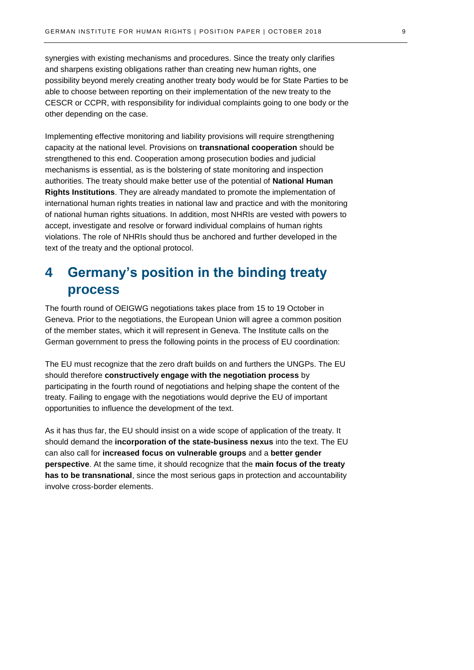synergies with existing mechanisms and procedures. Since the treaty only clarifies and sharpens existing obligations rather than creating new human rights, one possibility beyond merely creating another treaty body would be for State Parties to be able to choose between reporting on their implementation of the new treaty to the CESCR or CCPR, with responsibility for individual complaints going to one body or the other depending on the case.

Implementing effective monitoring and liability provisions will require strengthening capacity at the national level. Provisions on **transnational cooperation** should be strengthened to this end. Cooperation among prosecution bodies and judicial mechanisms is essential, as is the bolstering of state monitoring and inspection authorities. The treaty should make better use of the potential of **National Human Rights Institutions**. They are already mandated to promote the implementation of international human rights treaties in national law and practice and with the monitoring of national human rights situations. In addition, most NHRIs are vested with powers to accept, investigate and resolve or forward individual complains of human rights violations. The role of NHRIs should thus be anchored and further developed in the text of the treaty and the optional protocol.

## <span id="page-8-0"></span>**4 Germany's position in the binding treaty process**

The fourth round of OEIGWG negotiations takes place from 15 to 19 October in Geneva. Prior to the negotiations, the European Union will agree a common position of the member states, which it will represent in Geneva. The Institute calls on the German government to press the following points in the process of EU coordination:

The EU must recognize that the zero draft builds on and furthers the UNGPs. The EU should therefore **constructively engage with the negotiation process** by participating in the fourth round of negotiations and helping shape the content of the treaty. Failing to engage with the negotiations would deprive the EU of important opportunities to influence the development of the text.

As it has thus far, the EU should insist on a wide scope of application of the treaty. It should demand the **incorporation of the state-business nexus** into the text. The EU can also call for **increased focus on vulnerable groups** and a **better gender perspective**. At the same time, it should recognize that the **main focus of the treaty has to be transnational**, since the most serious gaps in protection and accountability involve cross-border elements.